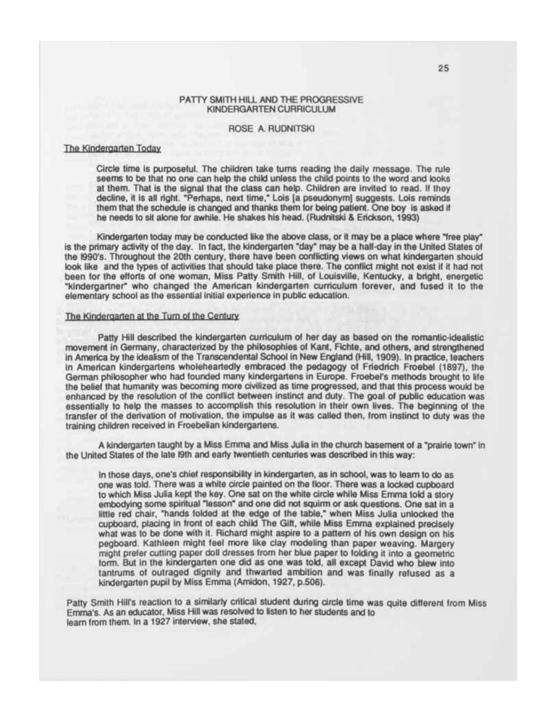## PATTY SMITH HILL AND THE PROGRESSIVE KINDERGARTEN CURRICULUM

## ROSE A. RUDNITSKI

# The Kindergarten Today

Circle time is purposeful. The children take turns reading the daily message. The rule seems to be that no one can help the child unless the child points to the word and looks at them. That is the signal that the class can help. Children are invited to read. If they decline, it is all right. "Perhaps, next time," Lois [a pseudonym] suggests. Lois reminds them that the schedule is changed and thanks them for being patient. One boy is asked if he needs to sit alone for awhile. He shakes his head. (Rudnitski & Erickson, 1993)

Kindergarten today may be conducted like the above class, or it may be a place where "free play" is the primary activity of the day. In fact, the kindergarten "day" may be a half-day in the United States of the I990's. Throughout the 20th century, there have been conflicting views on what kindergarten should look like and the types of activities that should take place there. The conflict might not exist if it had not been for the efforts of one woman, Miss Patty Smith Hill, of Louisville, Kentucky, a bright, energetic "kindergartner" who changed the American kindergarten curriculum forever, and fused it to the elementary school as the essential initial experience in public education.

## The Kindergarten at the Turn of the Century

Patty Hill described the kindergarten curriculum of her day as based on the romantic-idealistic movement in Germany, characterized by the philosophies of Kant, Fichte, and others, and strengthened in America by the idealism of the Transcendental School in New England (Hill, 1909). In practice, teachers in American kindergartens wholeheartedly embraced the pedagogy of Friedrich Froebel (1897), the German philosopher who had founded many kindergartens in Europe. Froebel's methods brought to life the belief that humanity was becoming more civilized as time progressed, and that this process would be enhanced by the resolution of the conflict between instinct and duty. The goal of public education was essentially to help the masses to accomplish this resolution in their own lives. The beginning of the transfer of the derivation of motivation, the impulse as it was called then, from instinct to duty was the training children received in Froebelian kindergartens.

A kindergarten taught by a Miss Emma and Miss Julia in the church basement of a "prairie town" in the United States of the late I9th and early twentieth centuries was described in this way:

In those days, one's chief responsibility in kindergarten, as in school, was to learn to do as one was told. There was a white circle painted on the floor. There was a locked cupboard to which Miss Julia kept the key. One sat on the white circle while Miss Emma told a story embodying some spiritual "lesson" and one did not squirm or ask questions. One sat in a little red chair, "hands folded at the edge of the table," when Miss Julia unlocked the cupboard, placing in front of each child The Gift, while Miss Emma explained precisely what was to be done with it. Richard might aspire to a pattern of his own design on his pegboard. Kathleen might feel more like clay modeling than paper weaving. Margery might prefer cutting paper doll dresses from her blue paper to folding it into a geometric form. But in the kindergarten one did as one was told, all except David who blew into tantrums of outraged dignity and thwarted ambition and was finally refused as a kindergarten pupil by Miss Emma (Amidon, 1927, p.506).

Patty Smith Hill's reaction to a similarly critical student during circle time was quite different from Miss Emma's. As an educator, Miss Hill was resolved to listen to her students and to learn from them. In a 1927 interview, she stated,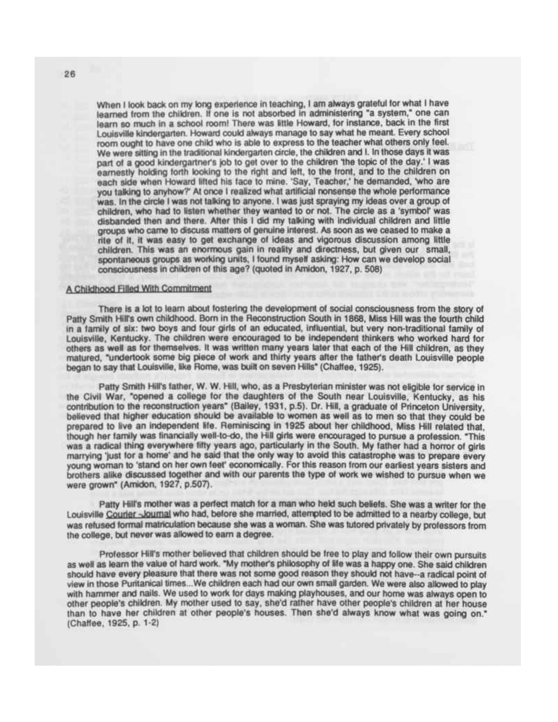When I look back on my long experience in teaching. I am always grateful for what I have learned from the children. If one is not absorbed in administering "a system," one can learn so much in a school room! There was little Howard, for instance, back in the first Louisville kindergarten. Howard could always manage to say what he meant. Every school room ought to have one child who is able to express to the teacher what others only feel. We were sitting in the traditional kindergarten circle, the children and I. In those days it was part of a good kindergartner's job to get over to the children the topic of the day.' I was earnestly holding forth looking to the right and left, to the front, and to the children on each side when Howard lifted his face to mine. 'Say, Teacher,' he demanded, "who are you talking to anyhow?' At once I realized what artificial nonsense the whole performance was. In the circle I was not talking to anyone. I was just spraying my ideas over a group of children, who had to listen whether they wanted to or not. The circle as a 'symbol' was disbanded then and there. After this I did my talking with individual children and little groups who came to discuss matters of genuine interest. As soon as we ceased to make a rite of it, it was easy to get exchange of ideas and vigorous discussion among little children. This was an enormous gain in reality and directness, but given our small, spontaneous groups as working units, I found myself asking: How can we develop social consciousness in children of this age? (quoted in Amidon, 1927, p. 508)

#### A Childhood Filled With Commitment

There is a lot to leam about fostering the development of social consciousness from the story of Patty Smith Hiirs own childhood. Bom in the Reconstruction South in 1868, Miss Hill was the fourth child in a family of six: two boys and four girls of an educated, influential, but very non-traditional family of Louisville, Kentucky. The children were encouraged to be independent thinkers who worked hard for others as well as for themselves. It was written many years later that each of the Hill children, as they matured, "undertook some big piece of work and thirty years after the father's death Louisville people began to say that Louisville, like Rome, was built on seven Hills" (Chaffee, 1925).

Patty Smith Hill's father, W. W. Hill, who, as a Presbyterian minister was not eligible for service in the Civil War. "opened a college for the daughters of the South near Louisville, Kentucky, as his contribution to the reconstruction years" (Bailey, 1931, p.5). Dr. Hill, a graduate of Princeton University, believed that higher education should be available to women as well as to men so that they could be prepared to live an independent life. Reminiscing in 1925 about her childhood, Miss Hill related that. though her family was financially well-to-do, the Hill girts were encouraged to pursue a profession. "This was a radical thing everywhere fifty years ago, particularly in the South. My father had a horror of girls marrying 'just for a home' and he said that the only way to avoid this catastrophe was to prepare every young woman to 'stand on her own feet' economically. For this reason from our earliest years sisters and brothers alike discussed together and with our parents the type of work we wished to pursue when we were grown" (Amidon, 1927, p.507).

Patty Hill's mother was a perfect match for a man who held such beliefs. She was a writer for the Louisville **Courier** -Journal who had, before she married, attempted to be admitted to a nearby college, but was refused formal matriculation because she was a woman. She was tutored privately by professors from the college, but never was allowed to earn a degree.

Professor Hill's mother believed that children should be free to play and follow their own pursuits as well as leam the value of hard work. "My mother's philosophy of life was a happy one. She said children should have every pleasure that there was not some good reason they should not have-a radical point of view in those Puritanical times...We children each had our own small garden. We were also allowed to play with hammer and nails. We used to work for days making playhouses, and our home was always open to other people's children. My mother used to say, she'd rather have other people's children at her house than to have her children at other people's houses. Then she'd always know what was going on." (Chaffee, 1925, p. 1-2)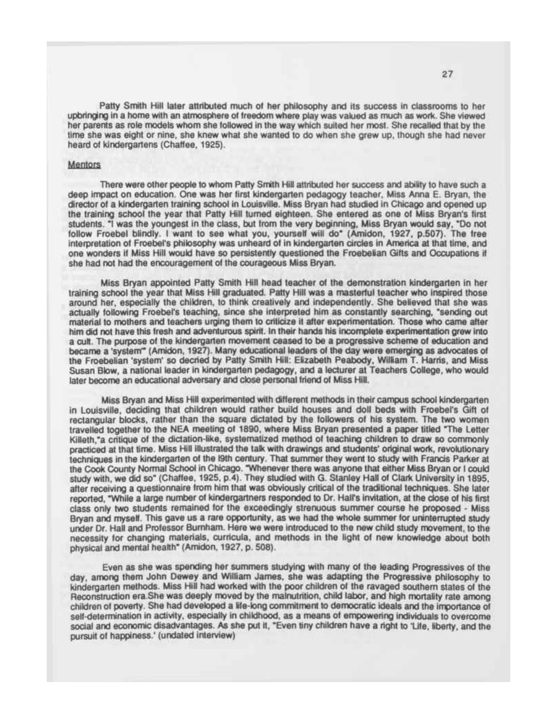Patty Smith Hill later attributed much of her philosophy and its success in classrooms to her upbringing in a home with an atmosphere of freedom where play was valued as much as work. She viewed her parents as role models whom she followed in the way which suited her most. She recalled that by the time she was eight or nine, she knew what she wanted to do when she grew up, though she had never heard of kindergartens (Chaffee, 1925).

## Mentors

There were other people to whom Patty Smith Hill attributed her success and ability to have such a deep impact on education. One was her first kindergarten pedagogy teacher, Miss Anna E. Bryan, the director of a kindergarten training school in Louisville. Miss Bryan had studied in Chicago and opened up the training school the year that Patty Hill turned eighteen. She entered as one of Miss Bryan's first students. "I was the youngest in the class, but from the very beginning, Miss Bryan would say, "Do not follow Froebel blindly. I want to see what you, yourself will do" (Amidon, 1927, p.507). The free interpretation of Froebel's philosophy was unheard of in kindergarten circles in America at that time, and one wonders if Miss Hill would have so persistently questioned the Froebelian Gifts and Occupations if she had not had the encouragement of the courageous Miss Bryan.

Miss Bryan appointed Patty Smith Hill head teacher of the demonstration kindergarten in her training school the year that Miss Hill graduated. Patty Hill was a masterful teacher who inspired those around her, especially the children, to think creatively and independently. She believed that she was actually following Froebel's teaching, since she interpreted him as constantly searching, "sending out material to mothers and teachers urging them to criticize it after experimentation. Those who came after him did not have this fresh and adventurous spirit. In their hands his incomplete experimentation grew into a cult. The purpose of the kindergarten movement ceased to be a progressive scheme of education and became a 'system'" (Amidon, 1927). Many educational leaders of the day were emerging as advocates of the Froebelian 'system' so decried by Patty Smith Hill: Elizabeth Peabody, William T. Harris, and Miss Susan Blow, a national leader in kindergarten pedagogy, and a lecturer at Teachers College, who would later become an educational adversary and close personal friend of Miss Hill.

Miss Bryan and Miss Hill experimented with different methods in their campus school kindergarten in Louisville, deciding that children would rather build houses and doll beds with Froebel's Gift of rectangular blocks, rather than the square dictated by the followers of his system. The two women travelled together to the NEA meeting of 1890, where Miss Bryan presented a paper titled "The Letter Killeth,"a critique of the dictation-like, systematized method of teaching children to draw so commonly practiced at that time. Miss Hill illustrated the talk with drawings and students' original work, revolutionary techniques in the kindergarten of the I9th century. That summer they went to study with Francis Parker at the Cook County Normal School in Chicago. "Whenever there was anyone that either Miss Bryan or I could study with, we did so" (Chaffee, 1925, p.4). They studied with G. Stanley Hall of Clark University in 1895, after receiving a questionnaire from him that was obviously critical of the traditional techniques. She later reported, "While a large number of kindergartners responded to Dr. Hall's invitation, at the close of his first class only two students remained for the exceedingly strenuous summer course he proposed - Miss Bryan and myself. This gave us a rare opportunity, as we had the whole summer for uninterrupted study under Dr. Hall and Professor Bumham. Here we were introduced to the new child study movement, to the necessity for changing materials, curricula, and methods in the light of new knowledge about both physical and mental health" (Amidon, 1927, p. 508).

Even as she was spending her summers studying with many of the leading Progressives of the day, among them John Dewey and William James, she was adapting the Progressive philosophy to kindergarten methods. Miss Hill had worked with the poor children of the ravaged southern states of the Reconstruction era.She was deeply moved by the malnutrition, child labor, and high mortality rate among children of poverty. She had developed a life-long commitment to democratic ideals and the importance of self-determination in activity, especially in childhood, as a means of empowering individuals to overcome social and economic disadvantages. As she put it, "Even tiny children have a right to 'Life, liberty, and the pursuit of happiness.' (undated interview)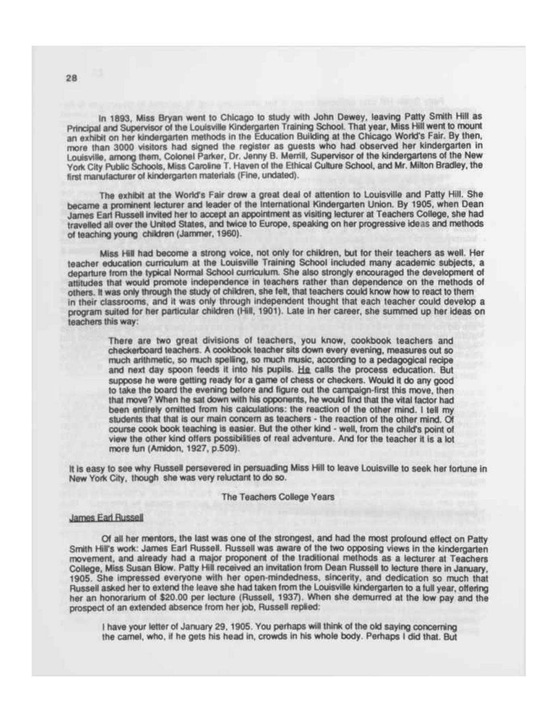In 1893, Miss Bryan went to Chicago to study with John Dewey, leaving Patty Smith Hill as Principal and Supervisor of the Louisville Kindergarten Training School. That year, Miss Hill went to mount an exhibit on her kindergarten methods in the Education Building at the Chicago World's Fair. By then, more than 3000 visitors had signed the register as guests who had observed her Kindergarten in Louisville, among them, Colonel Parker, Dr. Jenny B. Merrill, Supervisor of the Kindergartens of the New York City Public Schools, Miss Caroline T. Haven of the Ethical Culture School, and Mr. Milton Bradley, the first manufacturer of kindergarten materials (Fine, undated).

The exhibit at the World's Fair drew a great deal of attention to Louisville and Patty Hill. She became a prominent lecturer and leader of the International Kindergarten Union. By 1905, when Dean James Earl Russell invited her to accept an appointment as visiting lecturer at Teachers College, she had travelled all over the United States, and twice to Europe, speaking on her progressive ideas and methods of teaching young children (Jammer, 1960).

Miss Hill had become a strong voice, not only for children, but for their teachers as well. Her teacher education curriculum at the Louisville Training School included many academic subjects, a departure from the typical Normal School curriculum. She also strongly encouraged the development of attitudes that would promote independence in teachers rather than dependence on the methods of others. It was only through the study of children, she felt, that teachers could know how to react to them in their classrooms, and it was only through independent thought that each teacher could develop a program suited for her particular children (Hill, 1901). Late in her career, she summed up her ideas on teachers this way:

There are two great divisions of teachers, you know, cookbook teachers and checkerboard teachers. A cookbook teacher sits down every evening, measures out so much arithmetic, so much spelling, so much music, according to a pedagogical recipe and next day spoon feeds it into his pupils. He calls the process education. But suppose he were getting ready for a game of chess or checkers. Would it do any good to take the board the evening before and figure out the campaign-first this move, then that move? When he sat down with his opponents, he would find that the vital factor had been entirely omitted from his calculations: the reaction of the other mind. I tell my students that that is our main concern as teachers • the reaction of the other mind. Of course cook book teaching is easier. But the other Kind - well, from the child's point of view the other Kind offers possibilities of real adventure. And for the teacher it is a lot more fun (Amidon, 1927, p.509).

It is easy to see why Russell persevered in persuading Miss Hill to leave Louisville to seek her fortune in New York City, though she was very reluctant to do so.

#### The Teachers College Years

### James Earl Russell

Of all her mentors, the last was one of the strongest, and had the most profound effect on Patty Smith Hill's work: James Earl Russell. Russell was aware of the two opposing views in the kindergarten movement, and already had a major proponent of the traditional methods as a lecturer at Teachers College, Miss Susan Blow. Patty Hill received an invitation from Dean Russell to lecture there in January, 1905. She impressed everyone with her open-mindedness, sincerity, and dedication so much that Russell asked her to extend the leave she had taken from the Louisville kindergarten to a full year, offering her an honorarium of \$20.00 per lecture (Russell, 1937). When she demurred at the low pay and the prospect of an extended absence from her job, Russell replied:

I have your letter of January 29, 1905. You perhaps will think of the old saying concerning the camel, who, if he gets his head in, crowds in his whole body. Perhaps I did that. But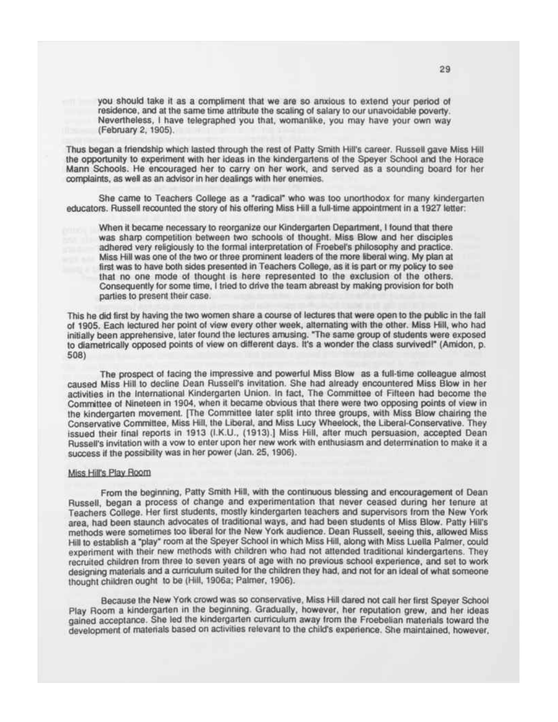you should take it as a compliment that we are so anxious to extend your period of residence, and at the same time attribute the scaling of salary to our unavoidable poverty. Nevertheless, I have telegraphed you that, womanlike, you may have your own way (February 2,1905).

Thus began a friendship which lasted through the rest of Patty Smith Hill's career. Russell gave Miss Hill the opportunity to experiment with her ideas in the kindergartens of the Speyer School and the Horace Mann Schools. He encouraged her to carry on her work, and served as a sounding board for her complaints, as well as an advisor in her dealings with her enemies.

She came to Teachers College as a "radical" who was too unorthodox for many kindergarten educators. Russell recounted the story of his offering Miss Hill a full-time appointment in a 1927 letter:

When it became necessary to reorganize our Kindergarten Department, I found that there was sharp competition between two schools of thought. Miss Blow and her disciples adhered very religiously to the formal interpretation of Froebel's philosophy and practice. Miss Hill was one of the two or three prominent leaders of the more liberal wing. My plan at first was to have both sides presented in Teachers College, as it is part or my policy to see that no one mode of thought is here represented to the exclusion of the others. Consequently for some time, I tried to drive the team abreast by making provision for both parties to present their case.

This he did first by having the two women share a course of lectures that were open to the public in the fall of 1905. Each lectured her point of view every other week, alternating with the other. Miss Hill, who had initially been apprehensive, later found the lectures amusing. "The same group of students were exposed to diametrically opposed points of view on different days. It's a wonder the class survived!" (Amidon, p. 508)

The prospect of facing the impressive and powerful Miss Blow as a full-time colleague almost caused Miss Hill to decline Dean Russell's invitation. She had already encountered Miss Blow in her activities in the International Kindergarten Union. In fact, The Committee of Fifteen had become the Committee of Nineteen in 1904, when it became obvious that there were two opposing points of view in the kindergarten movement. [The Committee later split into three groups, with Miss Blow chairing the Conservative Committee, Miss Hill, the Liberal, and Miss Lucy Wheelock, the Liberal-Conservative. They issued their final reports in 1913 (I.K.U., (1913).] Miss Hill, after much persuasion, accepted Dean Russell's invitation with a vow to enter upon her new work with enthusiasm and determination to make it a success if the possibility was in her power (Jan. 25, 1906).

# **Miss Hill's Plav Room**

From the beginning, Patty Smith Hill, with the continuous blessing and encouragement of Dean Russell, began a process of change and experimentation that never ceased during her tenure at Teachers College. Her first students, mostly kindergarten teachers and supervisors from the New York area, had been staunch advocates of traditional ways, and had been students of Miss Blow. Patty Hill's methods were sometimes too liberal for the New York audience. Dean Russell, seeing this, allowed Miss Hill to establish a "play" room at the Speyer School in which Miss Hill, along with Miss Luella Palmer, could experiment with their new methods with children who had not attended traditional kindergartens. They recruited children from three to seven years of age with no previous school experience, and set to work designing materials and a curriculum suited for the children they had, and not for an ideal of what someone thought children ought to be (Hill, 1906a; Palmer, 1906).

Because the New York crowd was so conservative, Miss Hill dared not call her first Speyer School Play Room a kindergarten in the beginning. Gradually, however, her reputation grew, and her ideas gained acceptance. She led the kindergarten curriculum away from the Froebelian materials toward the development of materials based on activities relevant to the child's experience. She maintained, however,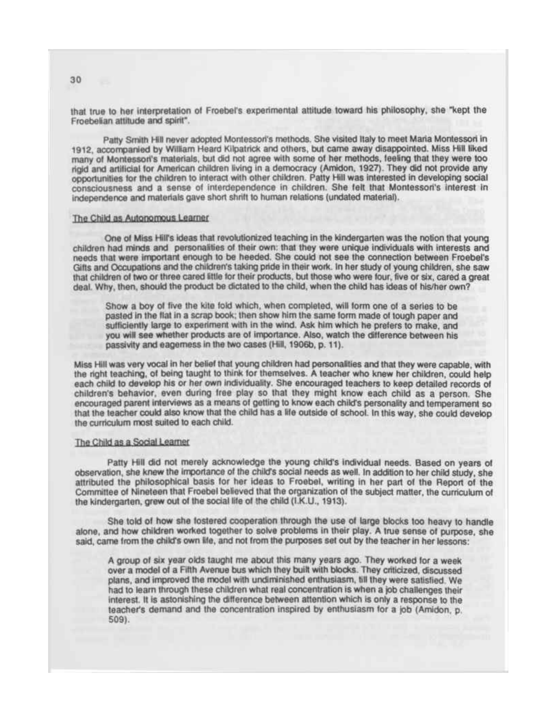that true to her interpretation of Froebel's experimental attitude toward his philosophy, she "kept the Froebelian attitude and spirit".

Patty Smith Hill never adopted Montessori's methods. She visited Italy to meet Maria Montessori in 1912, accompanied by William Heard Kilpatrick and others, but came away disappointed. Miss Hill liked many of Montessori's materials, but did not agree with some of her methods, feeling that they were too rigid and artificial tor American children living in a democracy (Amidon, 1927). They did not provide any opportunities for the children to interact with other children. Patty Hill was interested in developing social consciousness and a sense of interdependence in children. She felt that Montessori's interest in independence and materials gave short shrift to human relations (undated material).

#### The Child as Autonomous Learner

One of Miss Hill's ideas that revolutionized teaching in the kindergarten was the notion that young children had minds and personalities of their own: that they were unique individuals with interests and needs that were important enough to be heeded. She could not see the connection between Froebel's Gifts and Occupations and the children's taking pride in their work. In her study of young children, she saw that children of two or three cared little for their products, but those who were four, five or six, cared a great deal. Why, then, should the product be dictated to the child, when the child has ideas of his/her own?

Show a boy of five the kite fold which, when completed, will form one of a series to be pasted in the flat in a scrap book; then show him the same form made of tough paper and sufficiently large to experiment with in the wind. Ask him which he prefers to make, and you will see whether products are of importance. Also, watch the difference between his passivity and eagerness in the two cases (Hill, 1906b, p. 11).

Miss Hill was very vocal in her belief that young children had personalities and that they were capable, with the right teaching, of being taught to think for themselves. A teacher who knew her children, could help each child to develop his or her own individuality. She encouraged teachers to keep detailed records of children's behavior, even during free play so that they might know each child as a person. She encouraged parent interviews as a means of getting to know each child's personality and temperament so that the teacher could also know that the child has a life outside of school. In this way, she could develop the curriculum most suited to each child.

# The Child as a Social Learner

Patty Hill did not merely acknowledge the young child's individual needs. Based on years of observation, she knew the importance of the child's social needs as well. In addition to her child study, she attributed the philosophical basis for her ideas to Froebel, writing in her part of the Report of the Committee of Nineteen that Froebel believed that the organization of the subject matter, the curriculum of the kindergarten, grew out of the social life of the child (I.K.U., 1913).

She told of how she fostered cooperation through the use of large blocks too heavy to handle alone, and how children worked together to solve problems in their play. A true sense of purpose, she said, came from the child's own life, and not from the purposes set out by the teacher in her lessons:

A group of six year olds taught me about this many years ago. They worked for a week over a model of a Fifth Avenue bus which they built with blocks. They criticized, discussed plans, and improved the model with undiminished enthusiasm, till they were satisfied. We had to leam through these children what real concentration is when a job challenges their interest. It is astonishing the difference between attention which is only a response to the teacher's demand and the concentration inspired by enthusiasm for a job (Amidon, p. 509).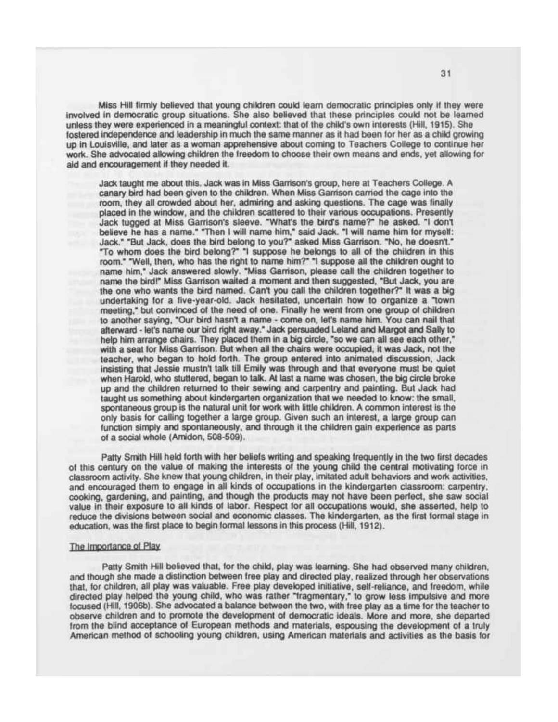Miss Hill firmly believed that young children could learn democratic principles only if they were involved in democratic group situations. She also believed that these principles could not be learned unless they were experienced in a meaningful context: that of the child's own interests (Hill, 1915). She fostered independence and leadership in much the same manner as it had been for her as a child growing up in Louisville, and later as a woman apprehensive about coming to Teachers College to continue her work. She advocated allowing children the freedom to choose their own means and ends, yet allowing for aid and encouragement if they needed it.

Jack taught me about this. Jack was in Miss Garrison's group, here at Teachers College. A canary bird had been given to the children. When Miss Garrison carried the cage into the room, they all crowded about her, admiring and asking questions. The cage was finally placed in the window, and the children scattered to their various occupations. Presently Jack tugged at Miss Garrison's sleeve. "What's the bird's name?" he asked. "I dont believe he has a name." "Then I will name him," said Jack. "I will name him for myself: Jack." "But Jack, does the bird belong to you?" asked Miss Garrison. "No, he doesnt." "To whom does the bird belong?" "I suppose he belongs to all of the children in this room." "Well, then, who has the right to name him?" "I suppose all the children ought to name him," Jack answered slowly. "Miss Garrison, please call the children together to name the bird!" Miss Garrison waited a moment and then suggested, "But Jack, you are the one who wants the bird named. Cant you call the children together?" It was a big undertaking for a five-year-old. Jack hesitated, uncertain how to organize a "town meeting," but convinced of the need of one. Finally he went from one group of children to another saying, "Our bird hasn't a name - come on, let's name him. You can nail that afterward - let's name our bird right away." Jack persuaded Leland and Margot and Sally to help him arrange chairs. They placed them in a big circle, "so we can all see each other," with a seat for Miss Garrison. But when all the chairs were occupied, it was Jack, not the teacher, who began to hold forth. The group entered into animated discussion, Jack insisting that Jessie mustn't talk till Emily was through and that everyone must be quiet when Harold, who stuttered, began to talk. At last a name was chosen, the big circle broke up and the children returned to their sewing and carpentry and painting. But Jack had taught us something about kindergarten organization that we needed to know: the small, spontaneous group is the natural unit for work with little children. A common interest is the only basis for calling together a large group. Given such an interest, a large group can function simply and spontaneously, and through it the children gain experience as parts of a social whole (Amidon, 508-509).

Patty Smith Hill held forth with her beliefs writing and speaking frequently in the two first decades of this century on the value of making the interests of the young child the central motivating force in classroom activity. She knew that young children, in their play, imitated adult behaviors and work activities, and encouraged them to engage in all kinds of occupations in the kindergarten classroom: carpentry, cooking, gardening, and painting, and though the products may not have been perfect, she saw social value in their exposure to all kinds of labor. Respect for all occupations would, she asserted, help to reduce the divisions between social and economic classes. The kindergarten, as the first formal stage in education, was the first place to begin formal lessons in this process (Hill, 1912).

## The Importance of Plav

Patty Smith Hill believed that, for the child, play was learning. She had observed many children, and though she made a distinction between free play and directed play, realized through her observations that, for children, all play was valuable. Free play developed initiative, self-reliance, and freedom, while directed play helped the young child, who was rather "fragmentary," to grow less impulsive and more focused (Hill, 1906b). She advocated a balance between the two, with free play as a time for the teacher to observe children and to promote the development of democratic ideals. More and more, she departed from the blind acceptance of European methods and materials, espousing the development of a truly American method of schooling young children, using American materials and activities as the basis for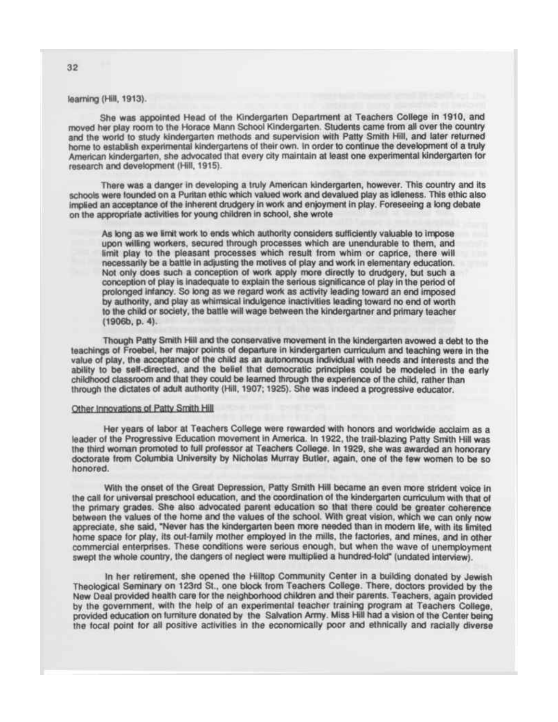learning (Hill, 1913).

She was appointed Head ot the Kindergarten Department at Teachers College in 1910, and moved her play room to the Horace Mann School Kindergarten. Students came trom all over the country and the world to study kindergarten methods and supervision with Patty Smith Hill, and later returned home to establish experimental kindergartens ot their own. In order to continue the development ot a truly American kindergarten, she advocated that every city maintain at least one experimental kindergarten for research and development (Hill, 1915).

There was a danger in developing a truly American kindergarten, however. This country and its schools were founded on a Puritan ethic which valued work and devalued play as idleness. This ethic also implied an acceptance of the inherent drudgery in work and enjoyment in play. Foreseeing a long debate on the appropriate activities for young children in school, she wrote

As long as we limit work to ends which authority considers sufficiently valuable to impose upon willing workers, secured through processes which are unendurable to them, and limit play to the pleasant processes which result from whim or caprice, there will necessarily be a battle in adjusting the motives of play and work in elementary education. Not only does such a conception of work apply more directly to drudgery, but such a conception of play is inadequate to explain the serious significance of play in the period of prolonged infancy. So long as we regard work as activity leading toward an end imposed by authority, and play as whimsical indulgence inactivities leading toward no end of worth to the child or society, the battle will wage between the kindergartner and primary teacher (1906b, p. 4).

Though Patty Smith Hill and the conservative movement in the kindergarten avowed a debt to the teachings of Froebel, her major points of departure in kindergarten curriculum and teaching were in the value of play, the acceptance of the child as an autonomous individual with needs and interests and the ability to be self-directed, and the belief that democratic principles could be modeled in the early childhood classroom and that they could be learned through the experience of the child, rather than through the dictates of adult authority (Hill, 1907; 1925). She was indeed a progressive educator.

#### Other Innovations of Pattv Smith Hill

Her years of labor at Teachers College were rewarded with honors and worldwide acclaim as a leader of the Progressive Education movement in America. In 1922, the trail-blazing Patty Smith Hill was the third woman promoted to full professor at Teachers College. In 1929, she was awarded an honorary doctorate from Columbia University by Nicholas Murray Butler, again, one of the few women to be so honored.

With the onset of the Great Depression, Patty Smith Hill became an even more strident voice in the call for universal preschool education, and the coordination of the kindergarten curriculum with that of the primary grades. She also advocated parent education so that there could be greater coherence between the values of the home and the values of the school. With great vision, which we can only now appreciate, she said, "Never has the kindergarten been more needed than in modem life, with its limited home space for play, its out-family mother employed in the mills, the factories, and mines, and in other commercial enterprises. These conditions were serious enough, but when the wave of unemployment swept the whole country, the dangers of neglect were multiplied a hundred-fold" (undated interview).

In her retirement, she opened the Hilltop Community Center in a building donated by Jewish Theological Seminary on 123rd St., one block from Teachers College. There, doctors provided by the New Deal provided health care for the neighborhood children and their parents. Teachers, again provided by the government, with the help of an experimental teacher training program at Teachers College, provided education on furniture donated by the Salvation Army. Miss Hill had a vision of the Center being the focal point for all positive activities in the economically poor and ethnically and racially diverse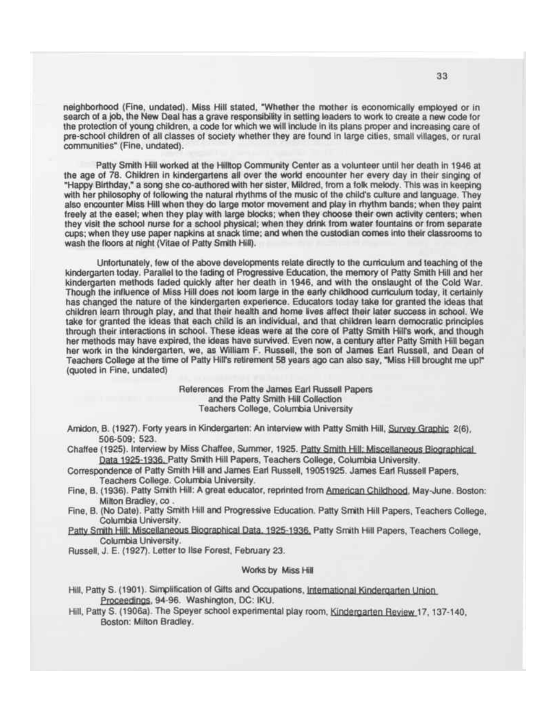neighborhood (Fine, undated). Miss Hill stated, "Whether the mother is economically employed or in search of a job, the New Deal has a grave responsibility in setting leaders to work to create a new code for the protection of young children, a code for which we will include in its plans proper and increasing care of pre-school children of all classes of society whether they are found in large cities, small villages, or rural communities" (Fine, undated).

Patty Smith Hill worked at the Hilltop Community Center as a volunteer until her death in 1946 at the age of 78. Children in kindergartens all over the world encounter her every day in their singing of "Happy Birthday," a song she co-authored with her sister, Mildred, from a folk melody. This was in keeping with her philosophy of following the natural rhythms of the music of the child's culture and language. They also encounter Miss Hill when they do large motor movement and play in rhythm bands; when they paint freely at the easel; when they play with large blocks; when they choose their own activity centers; when they visit the school nurse for a school physical; when they drink from water fountains or from separate cups; when they use paper napkins at snack time; and when the custodian comes into their classrooms to wash the floors at night (Vitae of Patty Smith Hill).

Unfortunately, few of the above developments relate directly to the curriculum and teaching of the kindergarten today. Parallel to the fading of Progressive Education, the memory of Patty Smith Hill and her kindergarten methods faded quickly after her death in 1946, and with the onslaught of the Cold War. Though the influence of Miss Hill does not loom large in the early childhood curriculum today, it certainly has changed the nature of the kindergarten experience. Educators today take for granted the ideas that children leam through play, and that their health and home lives affect their later success in school. We take for granted the ideas that each child is an individual, and that children learn democratic principles through their interactions in school. These ideas were at the core of Patty Smith Hill's work, and though her methods may have expired, the ideas have survived. Even now, a century after Patty Smith Hill began her work in the kindergarten, we, as William F. Russell, the son of James Earl Russell, and Dean of Teachers College at the time of Patty Hill's retirement 58 years ago can also say, "Miss Hill brought me upl" (quoted in Fine, undated)

> References From the James Earl Russell Papers and the Patty Smith Hill Collection Teachers College, Columbia University

Amidon, B. (1927). Forty years in Kindergarten: An interview with Patty Smith Hill, Survey Graphic 2(6), 506-509; 523.

Chaffee (1925). Interview by Miss Chaffee, Summer, 1925. Patty Smith Hill: Miscellaneous Biographical Data 1925-1936. Patty Smith Hill Papers, Teachers College, Columbia University.

Correspondence of Patty Smith Hill and James Eari Russell, 19051925. James Earl Russell Papers, Teachers College. Columbia University.

- Fine, B. (1936). Patty Smith Hill: A great educator, reprinted from American Childhood. May-June. Boston: Milton Bradley, co.
- Fine, B. (No Date). Patty Smith Hill and Progressive Education. Patty Smith Hill Papers, Teachers College, Columbia University.
- Patty Smith Hill: Miscellaneous Biographical Data. 1925-1936. Patty Smith Hill Papers, Teachers College, Columbia University.

Russell, J. E. (1927). Letter to Ilse Forest, February 23.

## Works by Miss Hill

Hill, Patty S. (1901). Simplification of Gifts and Occupations, International Kindergarten Union Proceedings. 94-96. Washington, DC: IKU.

Hill, Patty S. (1906a). The Speyer school experimental play room, Kindergarten Review 17, 137-140, Boston: Milton Bradley.